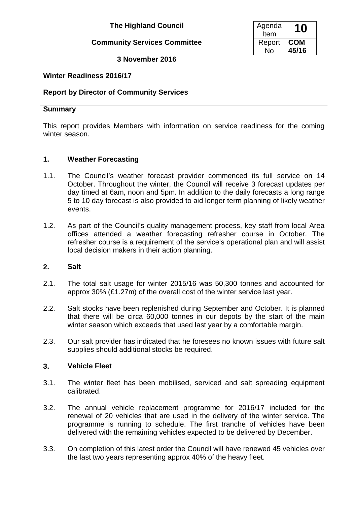# **The Highland Council**

### **Community Services Committee**

**3 November 2016**

| Agenda<br>Item | 10         |
|----------------|------------|
| Report         | <b>COM</b> |
| N٥             | 45/16      |

## **Winter Readiness 2016/17**

### **Report by Director of Community Services**

#### **Summary**

This report provides Members with information on service readiness for the coming winter season.

### **1. Weather Forecasting**

- 1.1. The Council's weather forecast provider commenced its full service on 14 October. Throughout the winter, the Council will receive 3 forecast updates per day timed at 6am, noon and 5pm. In addition to the daily forecasts a long range 5 to 10 day forecast is also provided to aid longer term planning of likely weather events.
- 1.2. As part of the Council's quality management process, key staff from local Area offices attended a weather forecasting refresher course in October. The refresher course is a requirement of the service's operational plan and will assist local decision makers in their action planning.

### **2. Salt**

- 2.1. The total salt usage for winter 2015/16 was 50,300 tonnes and accounted for approx 30% (£1.27m) of the overall cost of the winter service last year.
- 2.2. Salt stocks have been replenished during September and October. It is planned that there will be circa 60,000 tonnes in our depots by the start of the main winter season which exceeds that used last year by a comfortable margin.
- 2.3. Our salt provider has indicated that he foresees no known issues with future salt supplies should additional stocks be required.

### **3. Vehicle Fleet**

- 3.1. The winter fleet has been mobilised, serviced and salt spreading equipment calibrated.
- 3.2. The annual vehicle replacement programme for 2016/17 included for the renewal of 20 vehicles that are used in the delivery of the winter service. The programme is running to schedule. The first tranche of vehicles have been delivered with the remaining vehicles expected to be delivered by December.
- 3.3. On completion of this latest order the Council will have renewed 45 vehicles over the last two years representing approx 40% of the heavy fleet.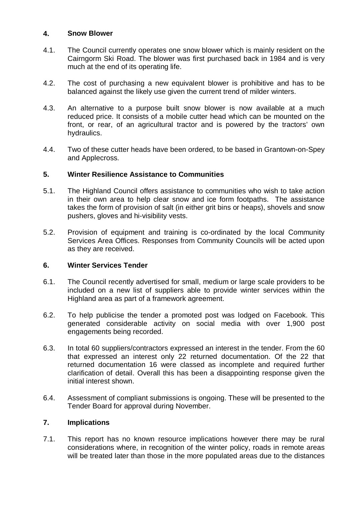### **4. Snow Blower**

- 4.1. The Council currently operates one snow blower which is mainly resident on the Cairngorm Ski Road. The blower was first purchased back in 1984 and is very much at the end of its operating life.
- 4.2. The cost of purchasing a new equivalent blower is prohibitive and has to be balanced against the likely use given the current trend of milder winters.
- 4.3. An alternative to a purpose built snow blower is now available at a much reduced price. It consists of a mobile cutter head which can be mounted on the front, or rear, of an agricultural tractor and is powered by the tractors' own hydraulics.
- 4.4. Two of these cutter heads have been ordered, to be based in Grantown-on-Spey and Applecross.

### **5. Winter Resilience Assistance to Communities**

- 5.1. The Highland Council offers assistance to communities who wish to take action in their own area to help clear snow and ice form footpaths. The assistance takes the form of provision of salt (in either grit bins or heaps), shovels and snow pushers, gloves and hi-visibility vests.
- 5.2. Provision of equipment and training is co-ordinated by the local Community Services Area Offices. Responses from Community Councils will be acted upon as they are received.

### **6. Winter Services Tender**

- 6.1. The Council recently advertised for small, medium or large scale providers to be included on a new list of suppliers able to provide winter services within the Highland area as part of a framework agreement.
- 6.2. To help publicise the tender a promoted post was lodged on Facebook. This generated considerable activity on social media with over 1,900 post engagements being recorded.
- 6.3. In total 60 suppliers/contractors expressed an interest in the tender. From the 60 that expressed an interest only 22 returned documentation. Of the 22 that returned documentation 16 were classed as incomplete and required further clarification of detail. Overall this has been a disappointing response given the initial interest shown.
- 6.4. Assessment of compliant submissions is ongoing. These will be presented to the Tender Board for approval during November.

### **7. Implications**

7.1. This report has no known resource implications however there may be rural considerations where, in recognition of the winter policy, roads in remote areas will be treated later than those in the more populated areas due to the distances